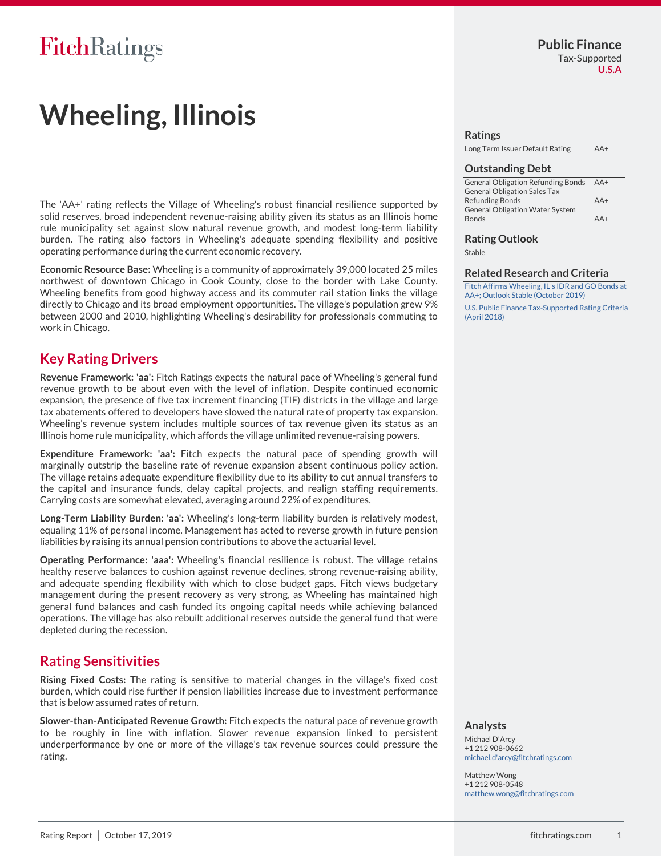## FitchRatings

# **Wheeling, Illinois**

The 'AA+' rating reflects the Village of Wheeling's robust financial resilience supported by solid reserves, broad independent revenue-raising ability given its status as an Illinois home rule municipality set against slow natural revenue growth, and modest long-term liability burden. The rating also factors in Wheeling's adequate spending flexibility and positive operating performance during the current economic recovery.

**Economic Resource Base:** Wheeling is a community of approximately 39,000 located 25 miles northwest of downtown Chicago in Cook County, close to the border with Lake County. Wheeling benefits from good highway access and its commuter rail station links the village directly to Chicago and its broad employment opportunities. The village's population grew 9% between 2000 and 2010, highlighting Wheeling's desirability for professionals commuting to work in Chicago.

### **Key Rating Drivers**

**Revenue Framework: 'aa':** Fitch Ratings expects the natural pace of Wheeling's general fund revenue growth to be about even with the level of inflation. Despite continued economic expansion, the presence of five tax increment financing (TIF) districts in the village and large tax abatements offered to developers have slowed the natural rate of property tax expansion. Wheeling's revenue system includes multiple sources of tax revenue given its status as an Illinois home rule municipality, which affords the village unlimited revenue-raising powers.

**Expenditure Framework: 'aa':** Fitch expects the natural pace of spending growth will marginally outstrip the baseline rate of revenue expansion absent continuous policy action. The village retains adequate expenditure flexibility due to its ability to cut annual transfers to the capital and insurance funds, delay capital projects, and realign staffing requirements. Carrying costs are somewhat elevated, averaging around 22% of expenditures.

**Long-Term Liability Burden: 'aa':** Wheeling's long-term liability burden is relatively modest, equaling 11% of personal income. Management has acted to reverse growth in future pension liabilities by raising its annual pension contributions to above the actuarial level.

**Operating Performance: 'aaa':** Wheeling's financial resilience is robust. The village retains healthy reserve balances to cushion against revenue declines, strong revenue-raising ability, and adequate spending flexibility with which to close budget gaps. Fitch views budgetary management during the present recovery as very strong, as Wheeling has maintained high general fund balances and cash funded its ongoing capital needs while achieving balanced operations. The village has also rebuilt additional reserves outside the general fund that were depleted during the recession.

### **Rating Sensitivities**

**Rising Fixed Costs:** The rating is sensitive to material changes in the village's fixed cost burden, which could rise further if pension liabilities increase due to investment performance that is below assumed rates of return.

**Slower-than-Anticipated Revenue Growth:** Fitch expects the natural pace of revenue growth to be roughly in line with inflation. Slower revenue expansion linked to persistent underperformance by one or more of the village's tax revenue sources could pressure the rating.

#### **Ratings**

| Long Term Issuer Default Rating | $AA+$ |
|---------------------------------|-------|
|                                 |       |

#### **Outstanding Debt**

| <b>General Obligation Refunding Bonds</b> | AA+   |
|-------------------------------------------|-------|
| <b>General Obligation Sales Tax</b>       |       |
| <b>Refunding Bonds</b>                    | $AA+$ |
| <b>General Obligation Water System</b>    |       |
| <b>Bonds</b>                              | $AA+$ |

#### **Rating Outlook**

**Stable** 

#### **Related Research and Criteria**

[Fitch Affirms Wheeling, IL's IDR and GO Bonds at](https://www.fitchratings.com/site/pr/10089329)  [AA+; Outlook Stable \(October 2019\)](https://www.fitchratings.com/site/pr/10089329) [U.S. Public Finance Tax-Supported Rating Criteria](http://www.fitchratings.com/creditdesk/reports/report_frame.cfm?rpt_id=919253)  [\(April 2018\)](http://www.fitchratings.com/creditdesk/reports/report_frame.cfm?rpt_id=919253)

#### **Analysts**

Michael D'Arcy +1 212 908-0662 [michael.d'arcy@fitchratings.com](mailto:michael.d)

Matthew Wong +1 212 908-0548 [matthew.wong@fitchratings.com](mailto:matthew.wong@fitchratings.com)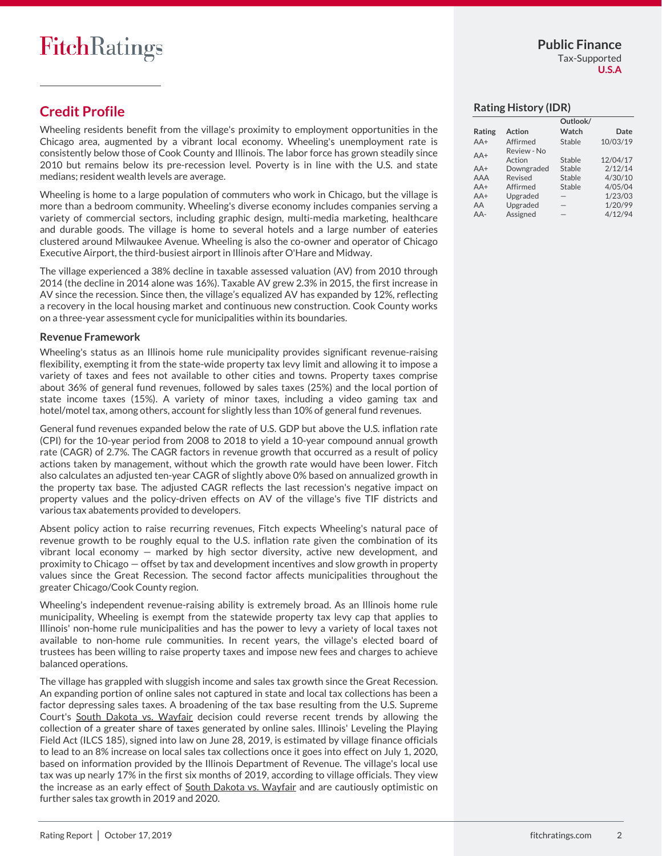**U.S.A**

## **Credit Profile**

Wheeling residents benefit from the village's proximity to employment opportunities in the Chicago area, augmented by a vibrant local economy. Wheeling's unemployment rate is consistently below those of Cook County and Illinois. The labor force has grown steadily since 2010 but remains below its pre-recession level. Poverty is in line with the U.S. and state medians; resident wealth levels are average.

Wheeling is home to a large population of commuters who work in Chicago, but the village is more than a bedroom community. Wheeling's diverse economy includes companies serving a variety of commercial sectors, including graphic design, multi-media marketing, healthcare and durable goods. The village is home to several hotels and a large number of eateries clustered around Milwaukee Avenue. Wheeling is also the co-owner and operator of Chicago Executive Airport, the third-busiest airport in Illinois after O'Hare and Midway.

The village experienced a 38% decline in taxable assessed valuation (AV) from 2010 through 2014 (the decline in 2014 alone was 16%). Taxable AV grew 2.3% in 2015, the first increase in AV since the recession. Since then, the village's equalized AV has expanded by 12%, reflecting a recovery in the local housing market and continuous new construction. Cook County works on a three-year assessment cycle for municipalities within its boundaries.

#### **Revenue Framework**

Wheeling's status as an Illinois home rule municipality provides significant revenue-raising flexibility, exempting it from the state-wide property tax levy limit and allowing it to impose a variety of taxes and fees not available to other cities and towns. Property taxes comprise about 36% of general fund revenues, followed by sales taxes (25%) and the local portion of state income taxes (15%). A variety of minor taxes, including a video gaming tax and hotel/motel tax, among others, account for slightly less than 10% of general fund revenues.

General fund revenues expanded below the rate of U.S. GDP but above the U.S. inflation rate (CPI) for the 10-year period from 2008 to 2018 to yield a 10-year compound annual growth rate (CAGR) of 2.7%. The CAGR factors in revenue growth that occurred as a result of policy actions taken by management, without which the growth rate would have been lower. Fitch also calculates an adjusted ten-year CAGR of slightly above 0% based on annualized growth in the property tax base. The adjusted CAGR reflects the last recession's negative impact on property values and the policy-driven effects on AV of the village's five TIF districts and various tax abatements provided to developers.

Absent policy action to raise recurring revenues, Fitch expects Wheeling's natural pace of revenue growth to be roughly equal to the U.S. inflation rate given the combination of its vibrant local economy — marked by high sector diversity, active new development, and proximity to Chicago — offset by tax and development incentives and slow growth in property values since the Great Recession. The second factor affects municipalities throughout the greater Chicago/Cook County region.

Wheeling's independent revenue-raising ability is extremely broad. As an Illinois home rule municipality, Wheeling is exempt from the statewide property tax levy cap that applies to Illinois' non-home rule municipalities and has the power to levy a variety of local taxes not available to non-home rule communities. In recent years, the village's elected board of trustees has been willing to raise property taxes and impose new fees and charges to achieve balanced operations.

The village has grappled with sluggish income and sales tax growth since the Great Recession. An expanding portion of online sales not captured in state and local tax collections has been a factor depressing sales taxes. A broadening of the tax base resulting from the U.S. Supreme Court's South Dakota vs. Wayfair decision could reverse recent trends by allowing the collection of a greater share of taxes generated by online sales. Illinois' Leveling the Playing Field Act (ILCS 185), signed into law on June 28, 2019, is estimated by village finance officials to lead to an 8% increase on local sales tax collections once it goes into effect on July 1, 2020, based on information provided by the Illinois Department of Revenue. The village's local use tax was up nearly 17% in the first six months of 2019, according to village officials. They view the increase as an early effect of South Dakota vs. Wayfair and are cautiously optimistic on further sales tax growth in 2019 and 2020.

#### **Rating History (IDR)**

|        |               | Outlook/ |          |
|--------|---------------|----------|----------|
| Rating | <b>Action</b> | Watch    | Date     |
| $AA+$  | Affirmed      | Stable   | 10/03/19 |
| $AA+$  | Review - No   |          |          |
|        | Action        | Stable   | 12/04/17 |
| $AA+$  | Downgraded    | Stable   | 2/12/14  |
| AAA    | Revised       | Stable   | 4/30/10  |
| $AA+$  | Affirmed      | Stable   | 4/05/04  |
| $AA+$  | Upgraded      |          | 1/23/03  |
| AA     | Upgraded      |          | 1/20/99  |
| $AA-$  | Assigned      |          | 4/12/94  |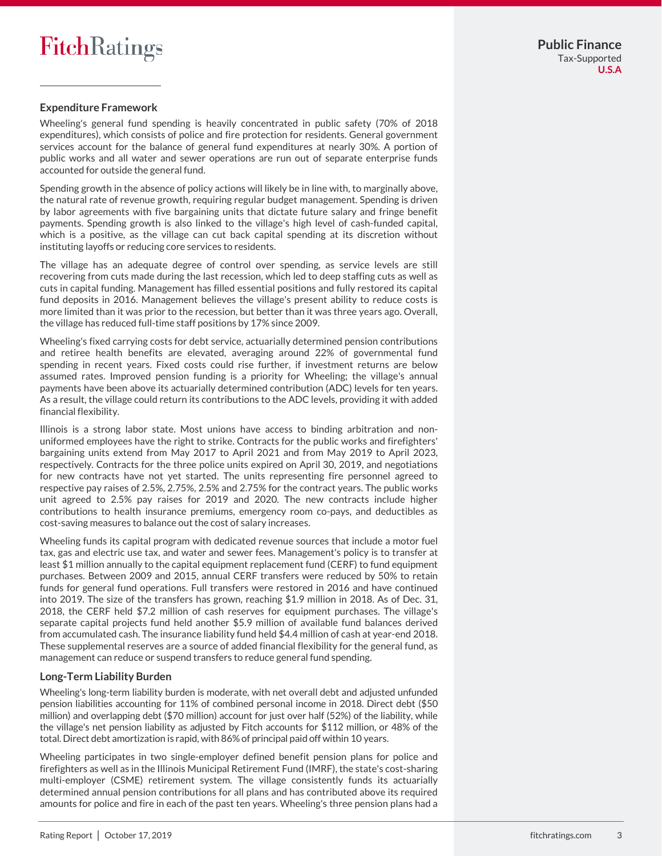#### **Expenditure Framework**

Wheeling's general fund spending is heavily concentrated in public safety (70% of 2018 expenditures), which consists of police and fire protection for residents. General government services account for the balance of general fund expenditures at nearly 30%. A portion of public works and all water and sewer operations are run out of separate enterprise funds accounted for outside the general fund.

Spending growth in the absence of policy actions will likely be in line with, to marginally above, the natural rate of revenue growth, requiring regular budget management. Spending is driven by labor agreements with five bargaining units that dictate future salary and fringe benefit payments. Spending growth is also linked to the village's high level of cash-funded capital, which is a positive, as the village can cut back capital spending at its discretion without instituting layoffs or reducing core services to residents.

The village has an adequate degree of control over spending, as service levels are still recovering from cuts made during the last recession, which led to deep staffing cuts as well as cuts in capital funding. Management has filled essential positions and fully restored its capital fund deposits in 2016. Management believes the village's present ability to reduce costs is more limited than it was prior to the recession, but better than it was three years ago. Overall, the village has reduced full-time staff positions by 17% since 2009.

Wheeling's fixed carrying costs for debt service, actuarially determined pension contributions and retiree health benefits are elevated, averaging around 22% of governmental fund spending in recent years. Fixed costs could rise further, if investment returns are below assumed rates. Improved pension funding is a priority for Wheeling; the village's annual payments have been above its actuarially determined contribution (ADC) levels for ten years. As a result, the village could return its contributions to the ADC levels, providing it with added financial flexibility.

Illinois is a strong labor state. Most unions have access to binding arbitration and nonuniformed employees have the right to strike. Contracts for the public works and firefighters' bargaining units extend from May 2017 to April 2021 and from May 2019 to April 2023, respectively. Contracts for the three police units expired on April 30, 2019, and negotiations for new contracts have not yet started. The units representing fire personnel agreed to respective pay raises of 2.5%, 2.75%, 2.5% and 2.75% for the contract years. The public works unit agreed to 2.5% pay raises for 2019 and 2020. The new contracts include higher contributions to health insurance premiums, emergency room co-pays, and deductibles as cost-saving measures to balance out the cost of salary increases.

Wheeling funds its capital program with dedicated revenue sources that include a motor fuel tax, gas and electric use tax, and water and sewer fees. Management's policy is to transfer at least \$1 million annually to the capital equipment replacement fund (CERF) to fund equipment purchases. Between 2009 and 2015, annual CERF transfers were reduced by 50% to retain funds for general fund operations. Full transfers were restored in 2016 and have continued into 2019. The size of the transfers has grown, reaching \$1.9 million in 2018. As of Dec. 31, 2018, the CERF held \$7.2 million of cash reserves for equipment purchases. The village's separate capital projects fund held another \$5.9 million of available fund balances derived from accumulated cash. The insurance liability fund held \$4.4 million of cash at year-end 2018. These supplemental reserves are a source of added financial flexibility for the general fund, as management can reduce or suspend transfers to reduce general fund spending.

#### **Long-Term Liability Burden**

Wheeling's long-term liability burden is moderate, with net overall debt and adjusted unfunded pension liabilities accounting for 11% of combined personal income in 2018. Direct debt (\$50 million) and overlapping debt (\$70 million) account for just over half (52%) of the liability, while the village's net pension liability as adjusted by Fitch accounts for \$112 million, or 48% of the total. Direct debt amortization is rapid, with 86% of principal paid off within 10 years.

Wheeling participates in two single-employer defined benefit pension plans for police and firefighters as well as in the Illinois Municipal Retirement Fund (IMRF), the state's cost-sharing multi-employer (CSME) retirement system. The village consistently funds its actuarially determined annual pension contributions for all plans and has contributed above its required amounts for police and fire in each of the past ten years. Wheeling's three pension plans had a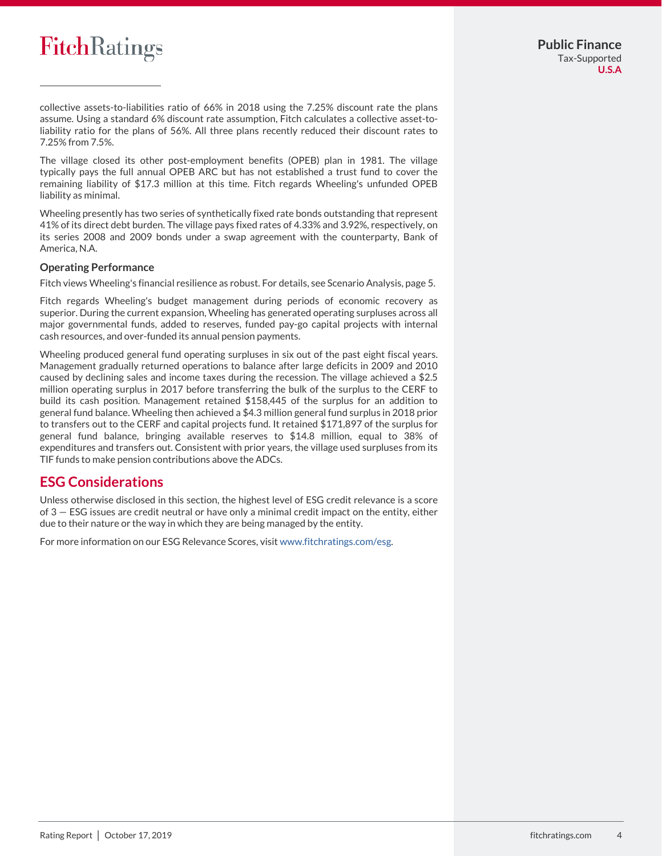

collective assets-to-liabilities ratio of 66% in 2018 using the 7.25% discount rate the plans assume. Using a standard 6% discount rate assumption, Fitch calculates a collective asset-toliability ratio for the plans of 56%. All three plans recently reduced their discount rates to 7.25% from 7.5%.

The village closed its other post-employment benefits (OPEB) plan in 1981. The village typically pays the full annual OPEB ARC but has not established a trust fund to cover the remaining liability of \$17.3 million at this time. Fitch regards Wheeling's unfunded OPEB liability as minimal.

Wheeling presently has two series of synthetically fixed rate bonds outstanding that represent 41% of its direct debt burden. The village pays fixed rates of 4.33% and 3.92%, respectively, on its series 2008 and 2009 bonds under a swap agreement with the counterparty, Bank of America, N.A.

#### **Operating Performance**

Fitch views Wheeling's financial resilience as robust. For details, see Scenario Analysis, page 5.

Fitch regards Wheeling's budget management during periods of economic recovery as superior. During the current expansion, Wheeling has generated operating surpluses across all major governmental funds, added to reserves, funded pay-go capital projects with internal cash resources, and over-funded its annual pension payments.

Wheeling produced general fund operating surpluses in six out of the past eight fiscal years. Management gradually returned operations to balance after large deficits in 2009 and 2010 caused by declining sales and income taxes during the recession. The village achieved a \$2.5 million operating surplus in 2017 before transferring the bulk of the surplus to the CERF to build its cash position. Management retained \$158,445 of the surplus for an addition to general fund balance. Wheeling then achieved a \$4.3 million general fund surplus in 2018 prior to transfers out to the CERF and capital projects fund. It retained \$171,897 of the surplus for general fund balance, bringing available reserves to \$14.8 million, equal to 38% of expenditures and transfers out. Consistent with prior years, the village used surpluses from its TIF funds to make pension contributions above the ADCs.

### **ESG Considerations**

Unless otherwise disclosed in this section, the highest level of ESG credit relevance is a score of 3 — ESG issues are credit neutral or have only a minimal credit impact on the entity, either due to their nature or the way in which they are being managed by the entity.

For more information on our ESG Relevance Scores, visi[t www.fitchratings.com/esg.](http://www.fitchratings.com/esg)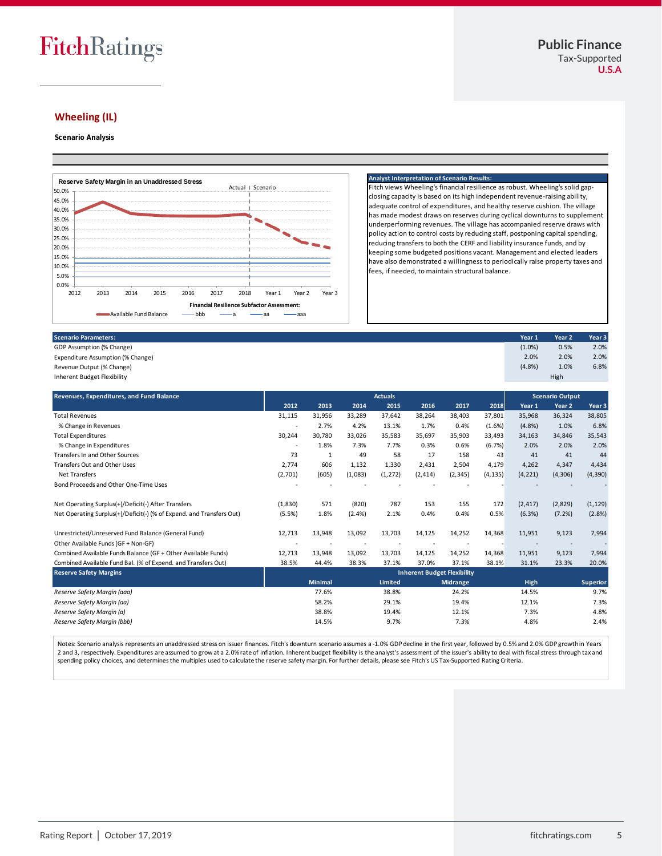## FitchRatings

#### **Wheeling (IL)**

#### **Scenario Analysis**



#### **Analyst Interpretation of Scenario Results:**

Fitch views Wheeling's financial resilience as robust. Wheeling's solid gapclosing capacity is based on its high independent revenue-raising ability, adequate control of expenditures, and healthy reserve cushion. The village has made modest draws on reserves during cyclical downturns to supplement underperforming revenues. The village has accompanied reserve draws with policy action to control costs by reducing staff, postponing capital spending, reducing transfers to both the CERF and liability insurance funds, and by keeping some budgeted positions vacant. Management and elected leaders have also demonstrated a willingness to periodically raise property taxes and fees, if needed, to maintain structural balance.

GDP Assumption (% Change) and Contract the Contract of Change in the Contract of Contract of Contract of Contract of Contract of Contract of Contract of Contract of Contract of Contract of Contract of Contract of Contract Expenditure Assumption (% Change) 2.0% 2.0% 2.0%

Revenue Output (% Change)  $(4.8\%)$  1.0% 6.8%

Inherent Budget Flexibility **Revenues, Expenditures, and Fund Balance 2012 2013 2014 2015 2016 2017 2018 Year 1 Year 2 Year 3** Total Revenues 31,115 31,956 33,289 37,642 38,264 38,403 37,801 35,968 36,324 38,805 % Change in Revenues - 2.7% 4.2% 13.1% 1.7% 0.4% (1.6%) (4.8%) 1.0% 6.8% Total Expenditures 30,244 30,780 33,026 35,583 35,697 35,903 33,493 34,163 34,846 35,543 % Change in Expenditures 20% 20% 7.3% 7.3% 7.3% 7.3% 0.3% 0.6% (6.7%) 2.0% 2.0% 2.0% Transfers In and Other Sources 2008 10:00 10:00 10:00 10:00 10:00 10:00 10:00 10:00 10:00 10:00 10:00 10:00 10:00 10:00 10:00 10:00 10:00 10:00 10:00 10:00 10:00 10:00 10:00 10:00 10:00 10:00 10:00 10:00 10:00 10:00 10:00 Transfers Out and Other Uses 2,774 606 1,132 1,330 2,431 2,504 4,179 4,262 4,347 4,434 Net Transfers (2,701) (605) (1,083) (1,272) (2,414) (2,345) (4,135) (4,221) (4,306) (4,390) Bond Proceeds and Other One-Time Uses Net Operating Surplus(+)/Deficit(-) After Transfers (1,830) 571 (820) 787 153 155 172 (2,417) (2,829) (1,129) Net Operating Surplus(+)/Deficit(-) (% of Expend. and Transfers Out) (5.5%) 1.8% (2.4%) 2.1% 0.4% 0.4% 0.5% (6.3%) (7.2%) (2.8%) Unrestricted/Unreserved Fund Balance (General Fund) 12,713 13,948 13,092 13,703 14,125 14,252 14,368 11,951 9,123 7,994 Other Available Funds (GF + Non-GF) - - - - - - - - - - Combined Available Funds Balance (GF + Other Available Funds) 12,713 13,948 13,092 13,703 14,125 14,252 14,368 11,951 9,123 7,994 Combined Available Fund Bal. (% of Expend. and Transfers Out) 38.5% 44.4% 38.3% 37.1% 37.0% 37.1% 38.1% 31.1% 23.3% 20.0% **Reserve Safety Margins Minimal Limited Midrange High Superior** *Reserve Safety Margin (aaa)* 77.6% 38.8% 24.2% 14.5% 9.7% *Reserve Safety Margin (aa)* 58.2% 29.1% 19.4% 12.1% 7.3% **Actuals Scenario Output Inherent Budget Flexibility** High

Notes: Scenario analysis represents an unaddressed stress on issuer finances. Fitch's downturn scenario assumes a -1.0% GDP decline in the first year, followed by 0.5% and 2.0% GDP growth in Years 2 and 3, respectively. Expenditures are assumed to grow at a 2.0% rate of inflation. Inherent budget flexibility is the analyst's assessment of the issuer's ability to deal with fiscal stress through tax and spending policy choices, and determines the multiples used to calculate the reserve safety margin. For further details, please see Fitch's US Tax-Supported Rating Criteria.

*Reserve Safety Margin (a)* 38.8% 19.4% 12.1% 7.3% 4.8% *Reserve Safety Margin (bbb)* 14.5% 9.7% 7.3% 4.8% 2.4%